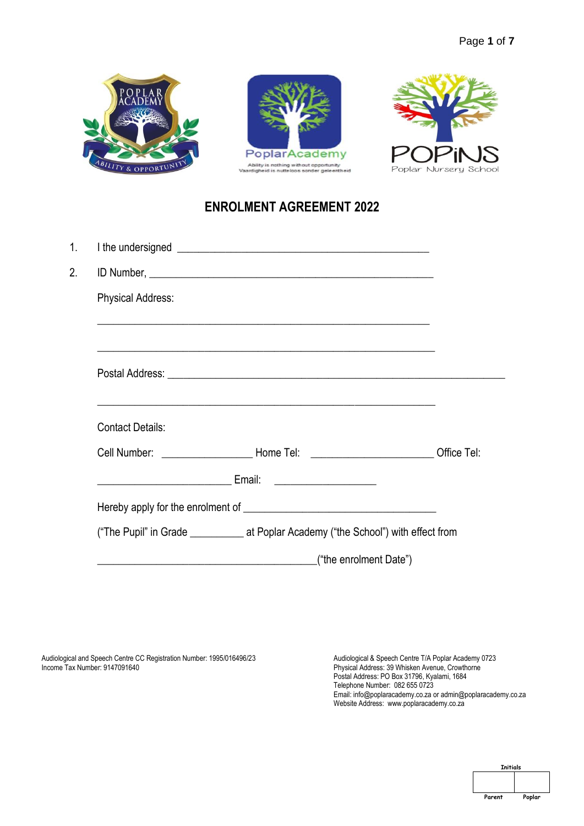





# **ENROLMENT AGREEMENT 2022**

| <b>Physical Address:</b> |                                                                                                                                                                                                                                      |  |
|--------------------------|--------------------------------------------------------------------------------------------------------------------------------------------------------------------------------------------------------------------------------------|--|
|                          | ,我们也不能在这里的时候,我们也不能在这里的时候,我们也不能会在这里,我们也不能会在这里的时候,我们也不能会在这里的时候,我们也不能会在这里的时候,我们也不能会<br><u> 1989 - Johann Harry Harry Harry Harry Harry Harry Harry Harry Harry Harry Harry Harry Harry Harry Harry Harry</u>                            |  |
|                          |                                                                                                                                                                                                                                      |  |
| <b>Contact Details:</b>  | <u> 1989 - Johann Harry Harry Harry Harry Harry Harry Harry Harry Harry Harry Harry Harry Harry Harry Harry Harry</u>                                                                                                                |  |
|                          | Cell Number: __________________________Home Tel: ______________________________Office Tel:                                                                                                                                           |  |
|                          | <u>Email: Email: Email: Email: Email: Email: Email: Email: Email: Email: Email: Email: Email: Email: Email: Email: Email: Email: Email: Email: Email: Email: Email: Email: Email: Email: Email: Email: Email: Email: Email: Emai</u> |  |
|                          |                                                                                                                                                                                                                                      |  |
|                          | ("The Pupil" in Grade ________________ at Poplar Academy ("the School") with effect from                                                                                                                                             |  |
|                          | ("the enrolment Date")<br><u> 2000 - Jan James James Barnett, martin de la provincia de la provincia de la provincia de la provincia de la</u>                                                                                       |  |

Audiological and Speech Centre CC Registration Number: 1995/016496/23 Income Tax Number: 9147091640

Audiological & Speech Centre T/A Poplar Academy 0723 Physical Address: 39 Whisken Avenue, Crowthorne Postal Address: PO Box 31796, Kyalami, 1684 Telephone Number: 082 655 0723 Email[: info@poplaracademy.co.za](mailto:info@poplaracademy.co.za) o[r admin@poplaracademy.co.za](mailto:admin@poplaracademy.co.za) Website Address: www.poplaracademy.co.za

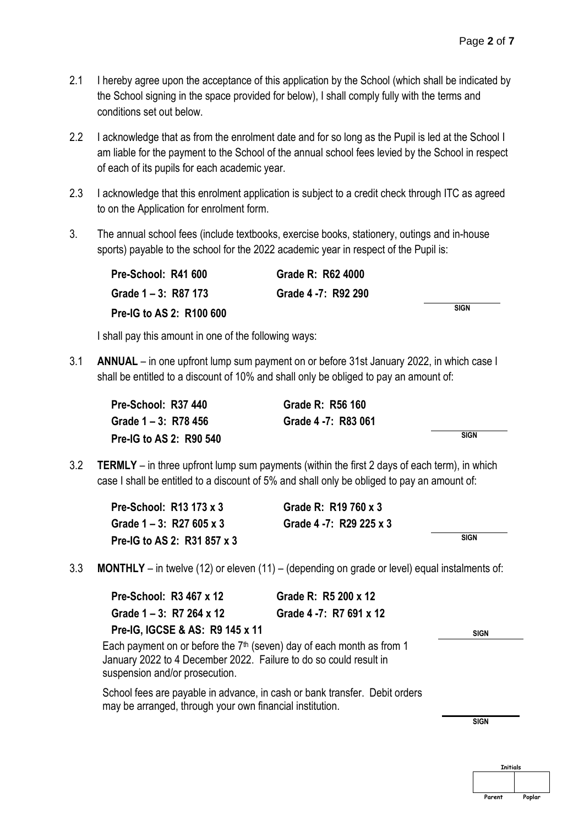- 2.1 I hereby agree upon the acceptance of this application by the School (which shall be indicated by the School signing in the space provided for below), I shall comply fully with the terms and conditions set out below.
- 2.2 I acknowledge that as from the enrolment date and for so long as the Pupil is led at the School I am liable for the payment to the School of the annual school fees levied by the School in respect of each of its pupils for each academic year.
- 2.3 I acknowledge that this enrolment application is subject to a credit check through ITC as agreed to on the Application for enrolment form.
- 3. The annual school fees (include textbooks, exercise books, stationery, outings and in-house sports) payable to the school for the 2022 academic year in respect of the Pupil is:

| Pre-School: R41 600      | Grade R: R62 4000   |             |
|--------------------------|---------------------|-------------|
| Grade 1 – 3: R87 173     | Grade 4 -7: R92 290 |             |
| Pre-IG to AS 2: R100 600 |                     | <b>SIGN</b> |

I shall pay this amount in one of the following ways:

3.1 **ANNUAL** – in one upfront lump sum payment on or before 31st January 2022, in which case I shall be entitled to a discount of 10% and shall only be obliged to pay an amount of:

| Pre-School: R37 440     | Grade R: R56 160    |             |
|-------------------------|---------------------|-------------|
| Grade 1 – 3: R78 456    | Grade 4 -7: R83 061 |             |
| Pre-IG to AS 2: R90 540 |                     | <b>SIGN</b> |

3.2 **TERMLY** – in three upfront lump sum payments (within the first 2 days of each term), in which case I shall be entitled to a discount of 5% and shall only be obliged to pay an amount of:

| Pre-School: R13 173 x 3     | Grade R: R19 760 x 3    |             |
|-----------------------------|-------------------------|-------------|
| Grade $1 - 3$ : R27 605 x 3 | Grade 4 -7: R29 225 x 3 |             |
| Pre-IG to AS 2: R31 857 x 3 |                         | <b>SIGN</b> |

3.3 **MONTHLY** – in twelve (12) or eleven (11) – (depending on grade or level) equal instalments of:

| Pre-School: R3 467 x 12                                                                             | Grade R: R5 200 x 12                                                       |             |
|-----------------------------------------------------------------------------------------------------|----------------------------------------------------------------------------|-------------|
| Grade $1 - 3$ : R7 264 x 12                                                                         | Grade 4 -7: R7 691 x 12                                                    |             |
| Pre-IG, IGCSE & AS: R9 145 x 11                                                                     |                                                                            | <b>SIGN</b> |
| January 2022 to 4 December 2022. Failure to do so could result in<br>suspension and/or prosecution. | Each payment on or before the $7th$ (seven) day of each month as from 1    |             |
| may be arranged, through your own financial institution.                                            | School fees are payable in advance, in cash or bank transfer. Debit orders |             |
|                                                                                                     |                                                                            | <b>SIGN</b> |
|                                                                                                     |                                                                            |             |

**Initials Parent Poplar**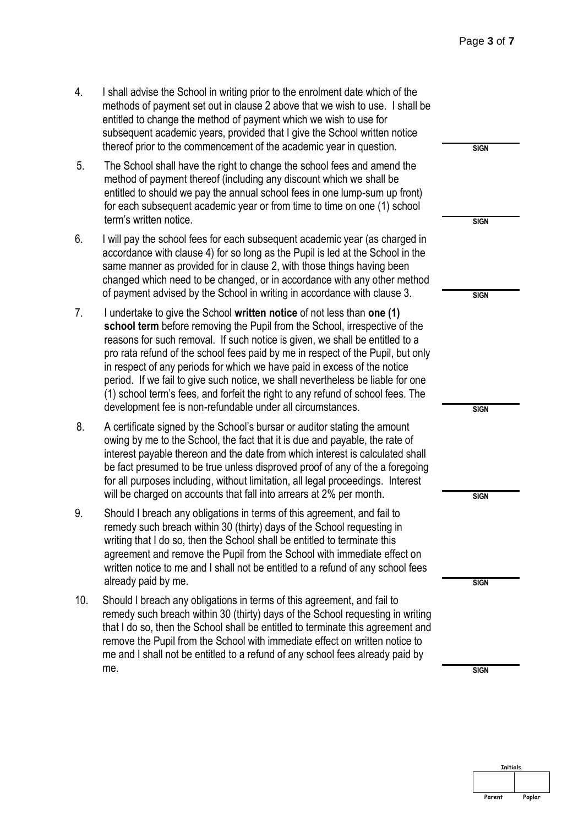- 4. I shall advise the School in writing prior to the enrolment date which of the methods of payment set out in clause 2 above that we wish to use. I shall be entitled to change the method of payment which we wish to use for subsequent academic years, provided that I give the School written notice thereof prior to the commencement of the academic year in question.
- 5. The School shall have the right to change the school fees and amend the method of payment thereof (including any discount which we shall be entitled to should we pay the annual school fees in one lump-sum up front) for each subsequent academic year or from time to time on one (1) school term's written notice.
- 6. I will pay the school fees for each subsequent academic year (as charged in accordance with clause 4) for so long as the Pupil is led at the School in the same manner as provided for in clause 2, with those things having been changed which need to be changed, or in accordance with any other method of payment advised by the School in writing in accordance with clause 3.
- 7. I undertake to give the School **written notice** of not less than **one (1) school term** before removing the Pupil from the School, irrespective of the reasons for such removal. If such notice is given, we shall be entitled to a pro rata refund of the school fees paid by me in respect of the Pupil, but only in respect of any periods for which we have paid in excess of the notice period. If we fail to give such notice, we shall nevertheless be liable for one (1) school term's fees, and forfeit the right to any refund of school fees. The development fee is non-refundable under all circumstances.
- 8. A certificate signed by the School's bursar or auditor stating the amount owing by me to the School, the fact that it is due and payable, the rate of interest payable thereon and the date from which interest is calculated shall be fact presumed to be true unless disproved proof of any of the a foregoing for all purposes including, without limitation, all legal proceedings. Interest will be charged on accounts that fall into arrears at 2% per month.
- 9. Should I breach any obligations in terms of this agreement, and fail to remedy such breach within 30 (thirty) days of the School requesting in writing that I do so, then the School shall be entitled to terminate this agreement and remove the Pupil from the School with immediate effect on written notice to me and I shall not be entitled to a refund of any school fees already paid by me.
- 10. Should I breach any obligations in terms of this agreement, and fail to remedy such breach within 30 (thirty) days of the School requesting in writin that I do so, then the School shall be entitled to terminate this agreement an remove the Pupil from the School with immediate effect on written notice to me and I shall not be entitled to a refund of any school fees already paid by me. SIGN

| æ                        |             |
|--------------------------|-------------|
|                          | <b>SIGN</b> |
|                          |             |
|                          | <b>SIGN</b> |
| J<br>è                   |             |
| d                        |             |
|                          | <b>SIGN</b> |
|                          |             |
| ly                       |             |
|                          |             |
| )<br>,                   | <b>SIGN</b> |
|                          |             |
| $\overline{\phantom{a}}$ |             |
| g                        |             |
|                          | <b>SIGN</b> |
|                          |             |
|                          |             |
| S                        |             |
|                          | <b>SIGN</b> |
| ١g                       |             |
| ıď                       |             |
|                          |             |
|                          | <b>SIGN</b> |

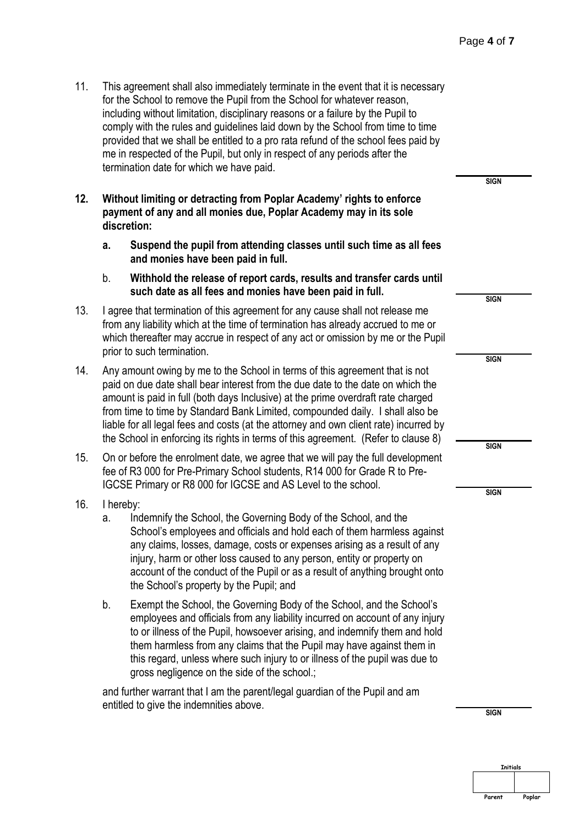- 11. This agreement shall also immediately terminate in the event that it is necessary for the School to remove the Pupil from the School for whatever reason, including without limitation, disciplinary reasons or a failure by the Pupil to comply with the rules and guidelines laid down by the School from time to time provided that we shall be entitled to a pro rata refund of the school fees paid by me in respected of the Pupil, but only in respect of any periods after the termination date for which we have paid.
- **12. Without limiting or detracting from Poplar Academy' rights to enforce payment of any and all monies due, Poplar Academy may in its sole discretion:** 
	- **a. Suspend the pupil from attending classes until such time as all fees and monies have been paid in full.**
	- b. **Withhold the release of report cards, results and transfer cards until such date as all fees and monies have been paid in full.**
- 13. I agree that termination of this agreement for any cause shall not release me from any liability which at the time of termination has already accrued to me or which thereafter may accrue in respect of any act or omission by me or the Pupil prior to such termination.
- 14. Any amount owing by me to the School in terms of this agreement that is not paid on due date shall bear interest from the due date to the date on which the amount is paid in full (both days Inclusive) at the prime overdraft rate charged from time to time by Standard Bank Limited, compounded daily. I shall also be liable for all legal fees and costs (at the attorney and own client rate) incurred by the School in enforcing its rights in terms of this agreement. (Refer to clause 8)
- 15. On or before the enrolment date, we agree that we will pay the full development fee of R3 000 for Pre-Primary School students, R14 000 for Grade R to Pre-IGCSE Primary or R8 000 for IGCSE and AS Level to the school.
- 16. I hereby:
	- a. Indemnify the School, the Governing Body of the School, and the School's employees and officials and hold each of them harmless against any claims, losses, damage, costs or expenses arising as a result of any injury, harm or other loss caused to any person, entity or property on account of the conduct of the Pupil or as a result of anything brought onto the School's property by the Pupil; and
	- b. Exempt the School, the Governing Body of the School, and the School's employees and officials from any liability incurred on account of any injury to or illness of the Pupil, howsoever arising, and indemnify them and hold them harmless from any claims that the Pupil may have against them in this regard, unless where such injury to or illness of the pupil was due to gross negligence on the side of the school.;

and further warrant that I am the parent/legal guardian of the Pupil and am entitled to give the indemnities above.

**SIGN**

**SIGN**

**SIGN**

**SIGN**

**SIGN**

**SIGN**

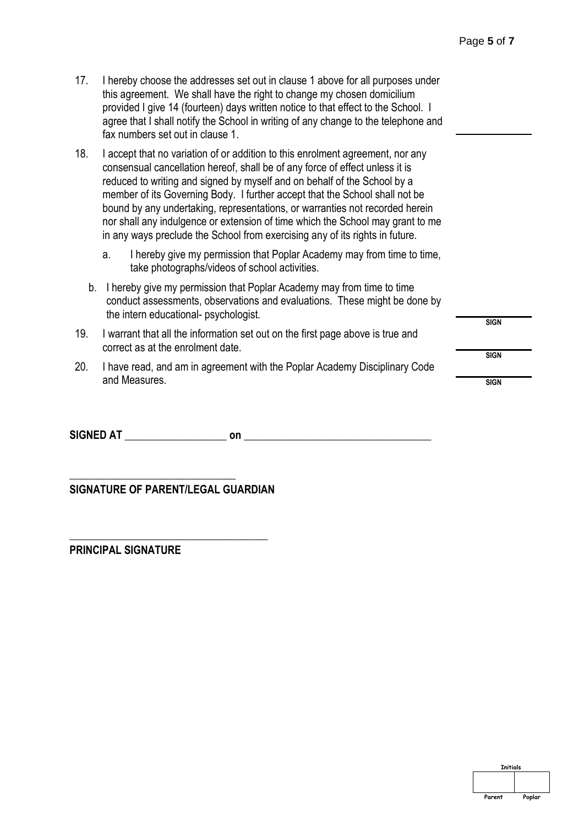**SIGN**

**SIGN**

- 17. I hereby choose the addresses set out in clause 1 above for all purposes under this agreement. We shall have the right to change my chosen domicilium provided I give 14 (fourteen) days written notice to that effect to the School. I agree that I shall notify the School in writing of any change to the telephone and fax numbers set out in clause 1.
- 18. I accept that no variation of or addition to this enrolment agreement, nor any consensual cancellation hereof, shall be of any force of effect unless it is reduced to writing and signed by myself and on behalf of the School by a member of its Governing Body. I further accept that the School shall not be bound by any undertaking, representations, or warranties not recorded herein nor shall any indulgence or extension of time which the School may grant to me in any ways preclude the School from exercising any of its rights in future.
	- a. I hereby give my permission that Poplar Academy may from time to time, take photographs/videos of school activities.
	- b. I hereby give my permission that Poplar Academy may from time to time conduct assessments, observations and evaluations. These might be done by the intern educational- psychologist.
- 19. I warrant that all the information set out on the first page above is true and correct as at the enrolment date.
- 20. I have read, and am in agreement with the Poplar Academy Disciplinary Code and Measures. SIGN

**SIGNED AT**  on  $\blacksquare$ 

**SIGNATURE OF PARENT/LEGAL GUARDIAN**

**\_\_\_\_\_\_\_\_\_\_\_\_\_\_\_\_\_\_\_\_\_\_\_\_\_\_\_\_\_\_\_\_\_\_\_\_\_** 

**\_\_\_\_\_\_\_\_\_\_\_\_\_\_\_\_\_\_\_\_\_\_\_\_\_\_\_\_\_\_\_**

**PRINCIPAL SIGNATURE** 

| <b>Initials</b> |        |
|-----------------|--------|
|                 |        |
|                 |        |
|                 |        |
| Parent          | Poplar |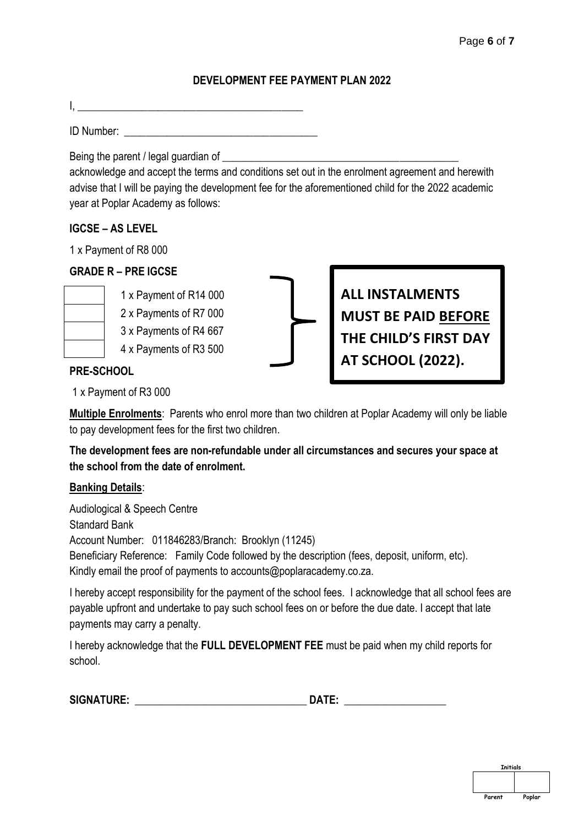# **DEVELOPMENT FEE PAYMENT PLAN 2022**

I,  $\Box$ 

ID Number:

Being the parent / legal guardian of

acknowledge and accept the terms and conditions set out in the enrolment agreement and herewith advise that I will be paying the development fee for the aforementioned child for the 2022 academic year at Poplar Academy as follows:

# **IGCSE – AS LEVEL**

1 x Payment of R8 000

# **GRADE R – PRE IGCSE**



- 1 x Payment of R14 000 2 x Payments of R7 000
- 3 x Payments of R4 667
- 4 x Payments of R3 500



**ALL INSTALMENTS MUST BE PAID BEFORE THE CHILD'S FIRST DAY AT SCHOOL (2022).**

# **PRE-SCHOOL**

1 x Payment of R3 000

**Multiple Enrolments**: Parents who enrol more than two children at Poplar Academy will only be liable to pay development fees for the first two children.

**The development fees are non-refundable under all circumstances and secures your space at the school from the date of enrolment.** 

#### **Banking Details**:

Audiological & Speech Centre Standard Bank Account Number: 011846283/Branch: Brooklyn (11245) Beneficiary Reference: Family Code followed by the description (fees, deposit, uniform, etc). Kindly email the proof of payments to accounts@poplaracademy.co.za.

I hereby accept responsibility for the payment of the school fees. I acknowledge that all school fees are payable upfront and undertake to pay such school fees on or before the due date. I accept that late payments may carry a penalty.

I hereby acknowledge that the **FULL DEVELOPMENT FEE** must be paid when my child reports for school.

| <b>SIGNATURE:</b><br>14 |  |
|-------------------------|--|
|-------------------------|--|

| <b>Initials</b> |        |
|-----------------|--------|
|                 |        |
|                 |        |
|                 |        |
| Parent          | Poplar |